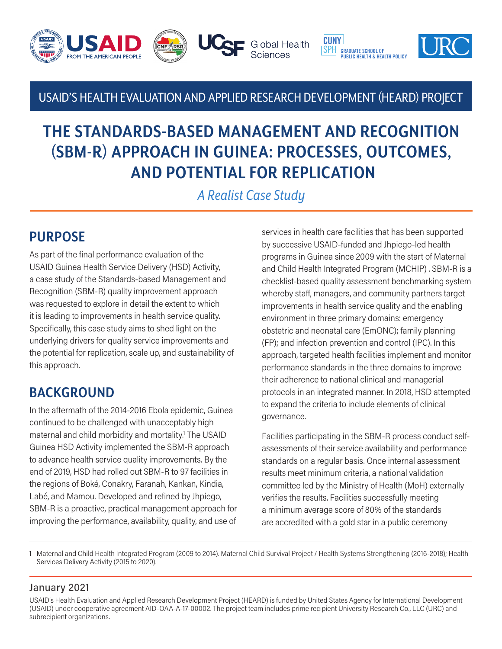

### USAID'S HEALTH EVALUATION AND APPLIED RESEARCH DEVELOPMENT (HEARD) PROJECT

# **THE STANDARDS-BASED MANAGEMENT AND RECOGNITION (SBM-R) APPROACH IN GUINEA: PROCESSES, OUTCOMES, AND POTENTIAL FOR REPLICATION**

*A Realist Case Study*

## **PURPOSE**

As part of the final performance evaluation of the USAID Guinea Health Service Delivery (HSD) Activity, a case study of the Standards-based Management and Recognition (SBM-R) quality improvement approach was requested to explore in detail the extent to which it is leading to improvements in health service quality. Specifically, this case study aims to shed light on the underlying drivers for quality service improvements and the potential for replication, scale up, and sustainability of this approach.

## **BACKGROUND**

In the aftermath of the 2014-2016 Ebola epidemic, Guinea continued to be challenged with unacceptably high maternal and child morbidity and mortality.1 The USAID Guinea HSD Activity implemented the SBM-R approach to advance health service quality improvements. By the end of 2019, HSD had rolled out SBM-R to 97 facilities in the regions of Boké, Conakry, Faranah, Kankan, Kindia, Labé, and Mamou. Developed and refined by Jhpiego, SBM-R is a proactive, practical management approach for improving the performance, availability, quality, and use of

services in health care facilities that has been supported by successive USAID-funded and Jhpiego-led health programs in Guinea since 2009 with the start of Maternal and Child Health Integrated Program (MCHIP) . SBM-R is a checklist-based quality assessment benchmarking system whereby staff, managers, and community partners target improvements in health service quality and the enabling environment in three primary domains: emergency obstetric and neonatal care (EmONC); family planning (FP); and infection prevention and control (IPC). In this approach, targeted health facilities implement and monitor performance standards in the three domains to improve their adherence to national clinical and managerial protocols in an integrated manner. In 2018, HSD attempted to expand the criteria to include elements of clinical governance.

Facilities participating in the SBM-R process conduct selfassessments of their service availability and performance standards on a regular basis. Once internal assessment results meet minimum criteria, a national validation committee led by the Ministry of Health (MoH) externally verifies the results. Facilities successfully meeting a minimum average score of 80% of the standards are accredited with a gold star in a public ceremony

1 Maternal and Child Health Integrated Program (2009 to 2014). Maternal Child Survival Project / Health Systems Strengthening (2016-2018); Health Services Delivery Activity (2015 to 2020).

#### January 2021

USAID's Health Evaluation and Applied Research Development Project (HEARD) is funded by United States Agency for International Development (USAID) under cooperative agreement AID-OAA-A-17-00002. The project team includes prime recipient University Research Co., LLC (URC) and subrecipient organizations.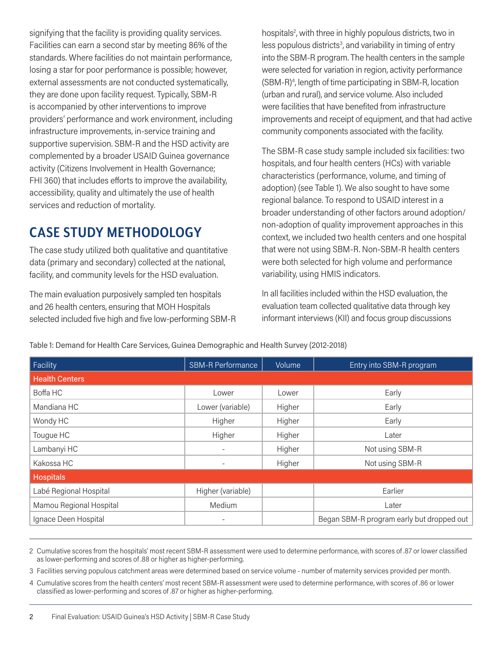signifying that the facility is providing quality services. Facilities can earn a second star by meeting 86% of the standards. Where facilities do not maintain performance, losing a star for poor performance is possible; however, external assessments are not conducted systematically, they are done upon facility request. Typically, SBM-R is accompanied by other interventions to improve providers' performance and work environment, including infrastructure improvements, in-service training and supportive supervision. SBM-R and the HSD activity are complemented by a broader USAID Guinea governance activity (Citizens Involvement in Health Governance; FHI 360) that includes efforts to improve the availability, accessibility, quality and ultimately the use of health services and reduction of mortality.

## **CASE STUDY METHODOLOGY**

The case study utilized both qualitative and quantitative data (primary and secondary) collected at the national, facility, and community levels for the HSD evaluation.

The main evaluation purposively sampled ten hospitals and 26 health centers, ensuring that MOH Hospitals selected included five high and five low-performing SBM-R

hospitals<sup>2</sup>, with three in highly populous districts, two in less populous districts<sup>3</sup>, and variability in timing of entry into the SBM-R program. The health centers in the sample were selected for variation in region, activity performance (SBM-R)4 , length of time participating in SBM-R, location (urban and rural), and service volume. Also included were facilities that have benefited from infrastructure improvements and receipt of equipment, and that had active community components associated with the facility.

The SBM-R case study sample included six facilities: two hospitals, and four health centers (HCs) with variable characteristics (performance, volume, and timing of adoption) (see Table 1). We also sought to have some regional balance. To respond to USAID interest in a broader understanding of other factors around adoption/ non-adoption of quality improvement approaches in this context, we included two health centers and one hospital that were not using SBM-R. Non-SBM-R health centers were both selected for high volume and performance variability, using HMIS indicators.

In all facilities included within the HSD evaluation, the evaluation team collected qualitative data through key informant interviews (KII) and focus group discussions

| Facility                | <b>SBM-R Performance</b><br>Volume |                                           | Entry into SBM-R program |  |  |  |
|-------------------------|------------------------------------|-------------------------------------------|--------------------------|--|--|--|
| <b>Health Centers</b>   |                                    |                                           |                          |  |  |  |
| Boffa HC                | Lower                              | Lower                                     | Early                    |  |  |  |
| Mandiana HC             | Lower (variable)<br>Higher         |                                           | Early                    |  |  |  |
| Wondy HC                | Higher<br>Higher                   |                                           | Early                    |  |  |  |
| Tougue HC               | Higher                             | Higher                                    | Later                    |  |  |  |
| Lambanyi HC             | $\overline{\phantom{a}}$           | Higher                                    | Not using SBM-R          |  |  |  |
| Kakossa HC              |                                    | Higher                                    | Not using SBM-R          |  |  |  |
| <b>Hospitals</b>        |                                    |                                           |                          |  |  |  |
| Labé Regional Hospital  | Higher (variable)                  |                                           | Earlier                  |  |  |  |
| Mamou Regional Hospital | Medium                             |                                           | Later                    |  |  |  |
| Ignace Deen Hospital    | ۰.                                 | Began SBM-R program early but dropped out |                          |  |  |  |

Table 1: Demand for Health Care Services, Guinea Demographic and Health Survey (2012-2018)

2 Cumulative scores from the hospitals' most recent SBM-R assessment were used to determine performance, with scores of .87 or lower classified as lower-performing and scores of .88 or higher as higher-performing.

3 Facilities serving populous catchment areas were determined based on service volume - number of maternity services provided per month.

4 Cumulative scores from the health centers' most recent SBM-R assessment were used to determine performance, with scores of .86 or lower classified as lower-performing and scores of .87 or higher as higher-performing.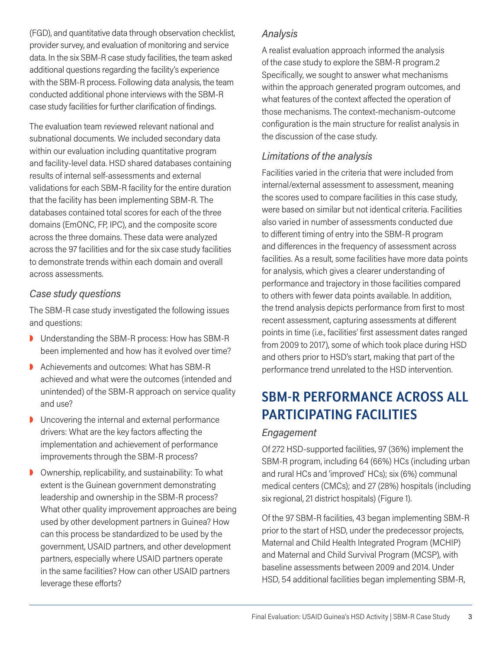(FGD), and quantitative data through observation checklist, provider survey, and evaluation of monitoring and service data. In the six SBM-R case study facilities, the team asked additional questions regarding the facility's experience with the SBM-R process. Following data analysis, the team conducted additional phone interviews with the SBM-R case study facilities for further clarification of findings.

The evaluation team reviewed relevant national and subnational documents. We included secondary data within our evaluation including quantitative program and facility-level data. HSD shared databases containing results of internal self-assessments and external validations for each SBM-R facility for the entire duration that the facility has been implementing SBM-R. The databases contained total scores for each of the three domains (EmONC, FP, IPC), and the composite score across the three domains. These data were analyzed across the 97 facilities and for the six case study facilities to demonstrate trends within each domain and overall across assessments.

#### *Case study questions*

The SBM-R case study investigated the following issues and questions:

- **D** Understanding the SBM-R process: How has SBM-R been implemented and how has it evolved over time?
- **D** Achievements and outcomes: What has SBM-R achieved and what were the outcomes (intended and unintended) of the SBM-R approach on service quality and use?
- $\triangleright$  Uncovering the internal and external performance drivers: What are the key factors affecting the implementation and achievement of performance improvements through the SBM-R process?
- $\triangleright$  Ownership, replicability, and sustainability: To what extent is the Guinean government demonstrating leadership and ownership in the SBM-R process? What other quality improvement approaches are being used by other development partners in Guinea? How can this process be standardized to be used by the government, USAID partners, and other development partners, especially where USAID partners operate in the same facilities? How can other USAID partners leverage these efforts?

#### *Analysis*

A realist evaluation approach informed the analysis of the case study to explore the SBM-R program.2 Specifically, we sought to answer what mechanisms within the approach generated program outcomes, and what features of the context affected the operation of those mechanisms. The context-mechanism-outcome configuration is the main structure for realist analysis in the discussion of the case study.

#### *Limitations of the analysis*

Facilities varied in the criteria that were included from internal/external assessment to assessment, meaning the scores used to compare facilities in this case study, were based on similar but not identical criteria. Facilities also varied in number of assessments conducted due to different timing of entry into the SBM-R program and differences in the frequency of assessment across facilities. As a result, some facilities have more data points for analysis, which gives a clearer understanding of performance and trajectory in those facilities compared to others with fewer data points available. In addition, the trend analysis depicts performance from first to most recent assessment, capturing assessments at different points in time (i.e., facilities' first assessment dates ranged from 2009 to 2017), some of which took place during HSD and others prior to HSD's start, making that part of the performance trend unrelated to the HSD intervention.

# **SBM-R PERFORMANCE ACROSS ALL PARTICIPATING FACILITIES**

#### *Engagement*

Of 272 HSD-supported facilities, 97 (36%) implement the SBM-R program, including 64 (66%) HCs (including urban and rural HCs and 'improved' HCs); six (6%) communal medical centers (CMCs); and 27 (28%) hospitals (including six regional, 21 district hospitals) (Figure 1).

Of the 97 SBM-R facilities, 43 began implementing SBM-R prior to the start of HSD, under the predecessor projects, Maternal and Child Health Integrated Program (MCHIP) and Maternal and Child Survival Program (MCSP), with baseline assessments between 2009 and 2014. Under HSD, 54 additional facilities began implementing SBM-R,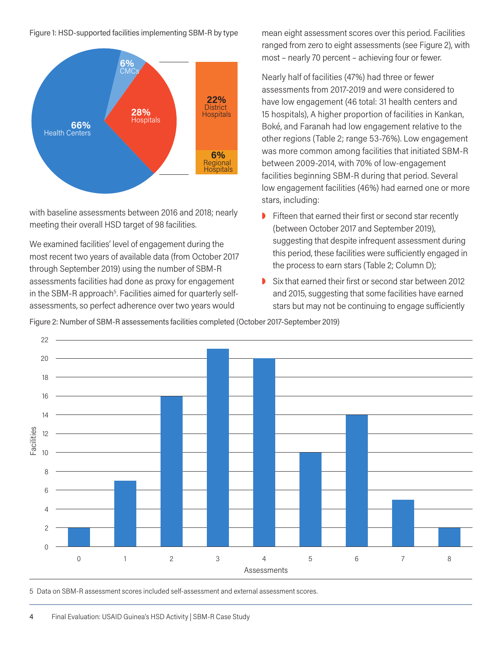Figure 1: HSD-supported facilities implementing SBM-R by type



with baseline assessments between 2016 and 2018; nearly meeting their overall HSD target of 98 facilities.

We examined facilities' level of engagement during the most recent two years of available data (from October 2017 through September 2019) using the number of SBM-R assessments facilities had done as proxy for engagement in the SBM-R approach<sup>5</sup>. Facilities aimed for quarterly selfassessments, so perfect adherence over two years would

mean eight assessment scores over this period. Facilities ranged from zero to eight assessments (see Figure 2), with most – nearly 70 percent – achieving four or fewer.

Nearly half of facilities (47%) had three or fewer assessments from 2017-2019 and were considered to have low engagement (46 total: 31 health centers and 15 hospitals), A higher proportion of facilities in Kankan, Boké, and Faranah had low engagement relative to the other regions (Table 2; range 53-76%). Low engagement was more common among facilities that initiated SBM-R between 2009-2014, with 70% of low-engagement facilities beginning SBM-R during that period. Several low engagement facilities (46%) had earned one or more stars, including:

- $\triangleright$  Fifteen that earned their first or second star recently (between October 2017 and September 2019), suggesting that despite infrequent assessment during this period, these facilities were sufficiently engaged in the process to earn stars (Table 2; Column D);
- $\blacktriangleright$  Six that earned their first or second star between 2012 and 2015, suggesting that some facilities have earned stars but may not be continuing to engage sufficiently

Figure 2: Number of SBM-R assessements facilities completed (October 2017-September 2019)



5 Data on SBM-R assessment scores included self-assessment and external assessment scores.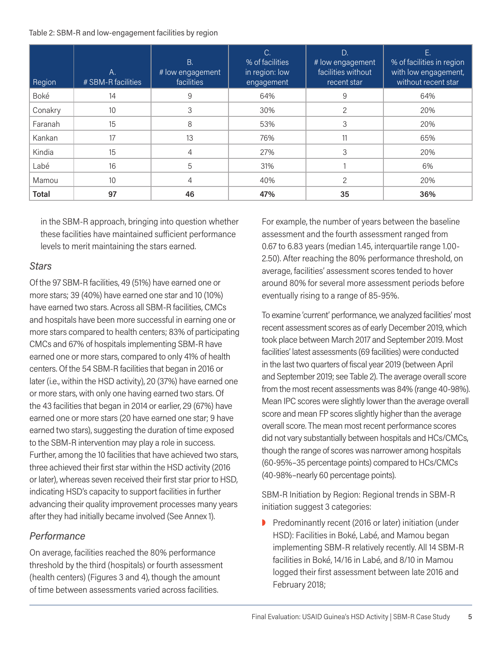Table 2: SBM-R and low-engagement facilities by region

| Region       | Α.<br># SBM-R facilities | <b>B.</b><br># low engagement<br>facilities | C.<br>% of facilities<br>in region: low<br>engagement | D.<br># low engagement<br>facilities without<br>recent star | Е.<br>% of facilities in region<br>with low engagement,<br>without recent star |
|--------------|--------------------------|---------------------------------------------|-------------------------------------------------------|-------------------------------------------------------------|--------------------------------------------------------------------------------|
| Boké         | 14                       | 9                                           | 64%                                                   | 9                                                           | 64%                                                                            |
| Conakry      | 10                       | 3                                           | 30%                                                   | 2                                                           | 20%                                                                            |
| Faranah      | 15                       | 8                                           | 53%                                                   | 3                                                           | 20%                                                                            |
| Kankan       | 17                       | 13                                          | 76%                                                   |                                                             | 65%                                                                            |
| Kindia       | 15                       | 4                                           | 27%                                                   | 3                                                           | 20%                                                                            |
| Labé         | 16                       | 5                                           | 31%                                                   |                                                             | 6%                                                                             |
| Mamou        | 10                       | 4                                           | 40%                                                   | 2                                                           | 20%                                                                            |
| <b>Total</b> | 97                       | 46                                          | 47%                                                   | 35                                                          | 36%                                                                            |

in the SBM-R approach, bringing into question whether these facilities have maintained sufficient performance levels to merit maintaining the stars earned.

#### *Stars*

Of the 97 SBM-R facilities, 49 (51%) have earned one or more stars; 39 (40%) have earned one star and 10 (10%) have earned two stars. Across all SBM-R facilities, CMCs and hospitals have been more successful in earning one or more stars compared to health centers; 83% of participating CMCs and 67% of hospitals implementing SBM-R have earned one or more stars, compared to only 41% of health centers. Of the 54 SBM-R facilities that began in 2016 or later (i.e., within the HSD activity), 20 (37%) have earned one or more stars, with only one having earned two stars. Of the 43 facilities that began in 2014 or earlier, 29 (67%) have earned one or more stars (20 have earned one star; 9 have earned two stars), suggesting the duration of time exposed to the SBM-R intervention may play a role in success. Further, among the 10 facilities that have achieved two stars, three achieved their first star within the HSD activity (2016 or later), whereas seven received their first star prior to HSD, indicating HSD's capacity to support facilities in further advancing their quality improvement processes many years after they had initially became involved (See Annex 1).

#### *Performance*

On average, facilities reached the 80% performance threshold by the third (hospitals) or fourth assessment (health centers) (Figures 3 and 4), though the amount of time between assessments varied across facilities.

For example, the number of years between the baseline assessment and the fourth assessment ranged from 0.67 to 6.83 years (median 1.45, interquartile range 1.00- 2.50). After reaching the 80% performance threshold, on average, facilities' assessment scores tended to hover around 80% for several more assessment periods before eventually rising to a range of 85-95%.

To examine 'current' performance, we analyzed facilities' most recent assessment scores as of early December 2019, which took place between March 2017 and September 2019. Most facilities' latest assessments (69 facilities) were conducted in the last two quarters of fiscal year 2019 (between April and September 2019; see Table 2). The average overall score from the most recent assessments was 84% (range 40-98%). Mean IPC scores were slightly lower than the average overall score and mean FP scores slightly higher than the average overall score. The mean most recent performance scores did not vary substantially between hospitals and HCs/CMCs, though the range of scores was narrower among hospitals (60-95%–35 percentage points) compared to HCs/CMCs (40-98%–nearly 60 percentage points).

SBM-R Initiation by Region: Regional trends in SBM-R initiation suggest 3 categories:

P Predominantly recent (2016 or later) initiation (under HSD): Facilities in Boké, Labé, and Mamou began implementing SBM-R relatively recently. All 14 SBM-R facilities in Boké, 14/16 in Labé, and 8/10 in Mamou logged their first assessment between late 2016 and February 2018;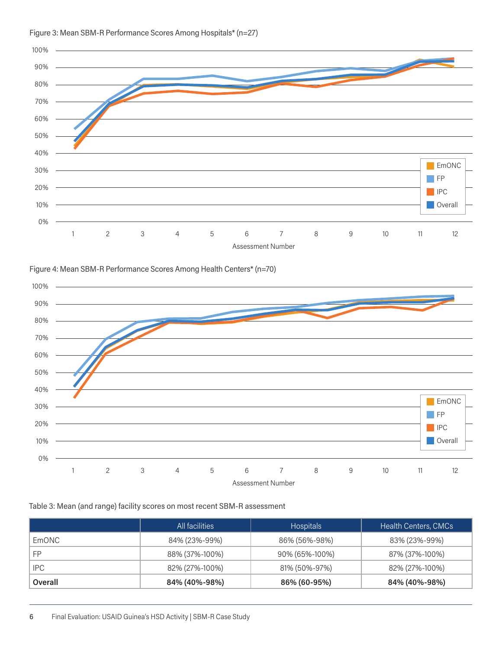

#### Figure 3: Mean SBM-R Performance Scores Among Hospitals\* (n=27)





#### Table 3: Mean (and range) facility scores on most recent SBM-R assessment

|                | All facilities | <b>Hospitals</b> | <b>Health Centers, CMCs</b> |
|----------------|----------------|------------------|-----------------------------|
| <b>EmONC</b>   | 84% (23%-99%)  | 86% (56%-98%)    | 83% (23%-99%)               |
| FP             | 88% (37%-100%) | 90% (65%-100%)   | 87% (37%-100%)              |
| IPC.           | 82% (27%-100%) | 81% (50%-97%)    | 82% (27%-100%)              |
| <b>Overall</b> | 84% (40%-98%)  | 86% (60-95%)     | 84% (40%-98%)               |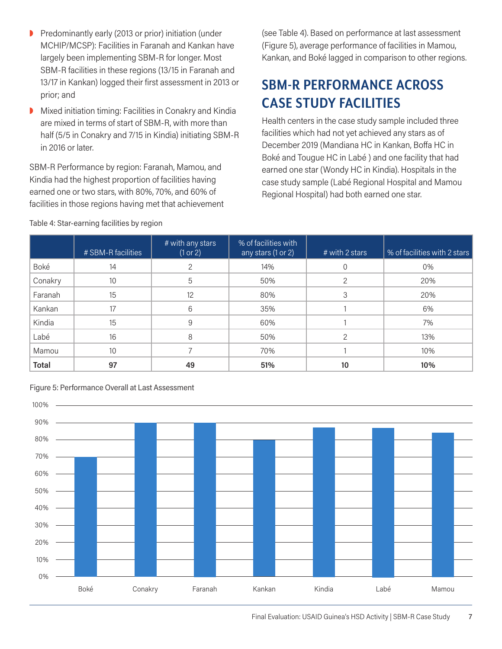- P Predominantly early (2013 or prior) initiation (under MCHIP/MCSP): Facilities in Faranah and Kankan have largely been implementing SBM-R for longer. Most SBM-R facilities in these regions (13/15 in Faranah and 13/17 in Kankan) logged their first assessment in 2013 or prior; and
- Mixed initiation timing: Facilities in Conakry and Kindia are mixed in terms of start of SBM-R, with more than half (5/5 in Conakry and 7/15 in Kindia) initiating SBM-R in 2016 or later.

SBM-R Performance by region: Faranah, Mamou, and Kindia had the highest proportion of facilities having earned one or two stars, with 80%, 70%, and 60% of facilities in those regions having met that achievement (see Table 4). Based on performance at last assessment (Figure 5), average performance of facilities in Mamou, Kankan, and Boké lagged in comparison to other regions.

# **SBM-R PERFORMANCE ACROSS CASE STUDY FACILITIES**

Health centers in the case study sample included three facilities which had not yet achieved any stars as of December 2019 (Mandiana HC in Kankan, Boffa HC in Boké and Tougue HC in Labé ) and one facility that had earned one star (Wondy HC in Kindia). Hospitals in the case study sample (Labé Regional Hospital and Mamou Regional Hospital) had both earned one star.

|              | # SBM-R facilities | # with any stars<br>(1 or 2) | % of facilities with<br>any stars (1 or 2) | # with 2 stars | % of facilities with 2 stars |
|--------------|--------------------|------------------------------|--------------------------------------------|----------------|------------------------------|
| Boké         | 14                 |                              | 14%                                        |                | 0%                           |
| Conakry      | 10                 | 5                            | 50%                                        | $\mathcal{P}$  | 20%                          |
| Faranah      | 15                 | 12                           | 80%                                        | 3              | 20%                          |
| Kankan       | 17                 | 6                            | 35%                                        |                | 6%                           |
| Kindia       | 15                 | 9                            | 60%                                        |                | 7%                           |
| Labé         | 16                 | 8                            | 50%                                        | C              | 13%                          |
| Mamou        | 10                 |                              | 70%                                        |                | 10%                          |
| <b>Total</b> | 97                 | 49                           | 51%                                        | 10             | 10%                          |

Table 4: Star-earning facilities by region

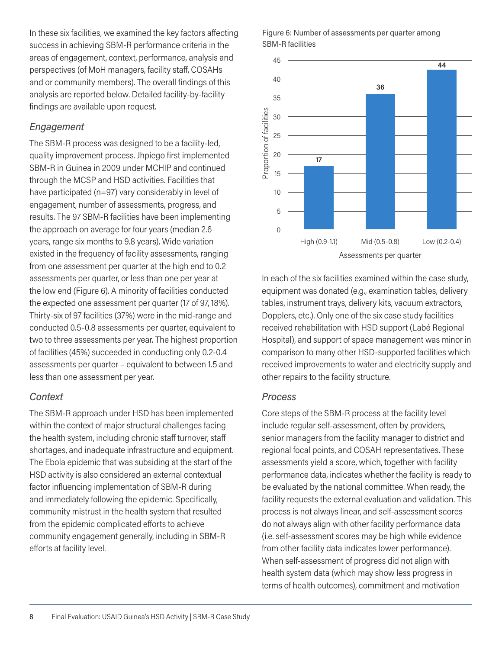In these six facilities, we examined the key factors affecting success in achieving SBM-R performance criteria in the areas of engagement, context, performance, analysis and perspectives (of MoH managers, facility staff, COSAHs and or community members). The overall findings of this analysis are reported below. Detailed facility-by-facility findings are available upon request.

#### *Engagement*

The SBM-R process was designed to be a facility-led, quality improvement process. Jhpiego first implemented SBM-R in Guinea in 2009 under MCHIP and continued through the MCSP and HSD activities. Facilities that have participated (n=97) vary considerably in level of engagement, number of assessments, progress, and results. The 97 SBM-R facilities have been implementing the approach on average for four years (median 2.6 years, range six months to 9.8 years). Wide variation existed in the frequency of facility assessments, ranging from one assessment per quarter at the high end to 0.2 assessments per quarter, or less than one per year at the low end (Figure 6). A minority of facilities conducted the expected one assessment per quarter (17 of 97, 18%). Thirty-six of 97 facilities (37%) were in the mid-range and conducted 0.5-0.8 assessments per quarter, equivalent to two to three assessments per year. The highest proportion of facilities (45%) succeeded in conducting only 0.2-0.4 assessments per quarter – equivalent to between 1.5 and less than one assessment per year.

#### *Context*

The SBM-R approach under HSD has been implemented within the context of major structural challenges facing the health system, including chronic staff turnover, staff shortages, and inadequate infrastructure and equipment. The Ebola epidemic that was subsiding at the start of the HSD activity is also considered an external contextual factor influencing implementation of SBM-R during and immediately following the epidemic. Specifically, community mistrust in the health system that resulted from the epidemic complicated efforts to achieve community engagement generally, including in SBM-R efforts at facility level.

Figure 6: Number of assessments per quarter among SBM-R facilities



In each of the six facilities examined within the case study, equipment was donated (e.g., examination tables, delivery tables, instrument trays, delivery kits, vacuum extractors, Dopplers, etc.). Only one of the six case study facilities received rehabilitation with HSD support (Labé Regional Hospital), and support of space management was minor in comparison to many other HSD-supported facilities which received improvements to water and electricity supply and other repairs to the facility structure.

#### *Process*

Core steps of the SBM-R process at the facility level include regular self-assessment, often by providers, senior managers from the facility manager to district and regional focal points, and COSAH representatives. These assessments yield a score, which, together with facility performance data, indicates whether the facility is ready to be evaluated by the national committee. When ready, the facility requests the external evaluation and validation. This process is not always linear, and self-assessment scores do not always align with other facility performance data (i.e. self-assessment scores may be high while evidence from other facility data indicates lower performance). When self-assessment of progress did not align with health system data (which may show less progress in terms of health outcomes), commitment and motivation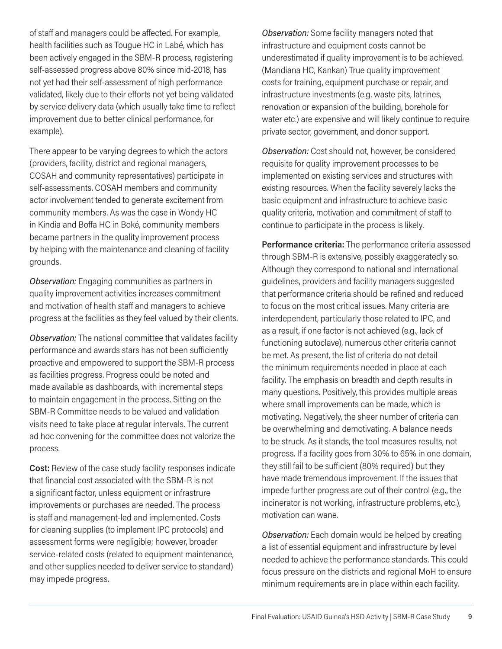of staff and managers could be affected. For example, health facilities such as Tougue HC in Labé, which has been actively engaged in the SBM-R process, registering self-assessed progress above 80% since mid-2018, has not yet had their self-assessment of high performance validated, likely due to their efforts not yet being validated by service delivery data (which usually take time to reflect improvement due to better clinical performance, for example).

There appear to be varying degrees to which the actors (providers, facility, district and regional managers, COSAH and community representatives) participate in self-assessments. COSAH members and community actor involvement tended to generate excitement from community members. As was the case in Wondy HC in Kindia and Boffa HC in Boké, community members became partners in the quality improvement process by helping with the maintenance and cleaning of facility grounds.

*Observation:* Engaging communities as partners in quality improvement activities increases commitment and motivation of health staff and managers to achieve progress at the facilities as they feel valued by their clients.

*Observation:* The national committee that validates facility performance and awards stars has not been sufficiently proactive and empowered to support the SBM-R process as facilities progress. Progress could be noted and made available as dashboards, with incremental steps to maintain engagement in the process. Sitting on the SBM-R Committee needs to be valued and validation visits need to take place at regular intervals. The current ad hoc convening for the committee does not valorize the process.

**Cost:** Review of the case study facility responses indicate that financial cost associated with the SBM-R is not a significant factor, unless equipment or infrastrure improvements or purchases are needed. The process is staff and management-led and implemented. Costs for cleaning supplies (to implement IPC protocols) and assessment forms were negligible; however, broader service-related costs (related to equipment maintenance, and other supplies needed to deliver service to standard) may impede progress.

*Observation:* Some facility managers noted that infrastructure and equipment costs cannot be underestimated if quality improvement is to be achieved. (Mandiana HC, Kankan) True quality improvement costs for training, equipment purchase or repair, and infrastructure investments (e.g. waste pits, latrines, renovation or expansion of the building, borehole for water etc.) are expensive and will likely continue to require private sector, government, and donor support.

*Observation:* Cost should not, however, be considered requisite for quality improvement processes to be implemented on existing services and structures with existing resources. When the facility severely lacks the basic equipment and infrastructure to achieve basic quality criteria, motivation and commitment of staff to continue to participate in the process is likely.

**Performance criteria:** The performance criteria assessed through SBM-R is extensive, possibly exaggeratedly so. Although they correspond to national and international guidelines, providers and facility managers suggested that performance criteria should be refined and reduced to focus on the most critical issues. Many criteria are interdependent, particularly those related to IPC, and as a result, if one factor is not achieved (e.g., lack of functioning autoclave), numerous other criteria cannot be met. As present, the list of criteria do not detail the minimum requirements needed in place at each facility. The emphasis on breadth and depth results in many questions. Positively, this provides multiple areas where small improvements can be made, which is motivating. Negatively, the sheer number of criteria can be overwhelming and demotivating. A balance needs to be struck. As it stands, the tool measures results, not progress. If a facility goes from 30% to 65% in one domain, they still fail to be sufficient (80% required) but they have made tremendous improvement. If the issues that impede further progress are out of their control (e.g., the incinerator is not working, infrastructure problems, etc.), motivation can wane.

*Observation:* Each domain would be helped by creating a list of essential equipment and infrastructure by level needed to achieve the performance standards. This could focus pressure on the districts and regional MoH to ensure minimum requirements are in place within each facility.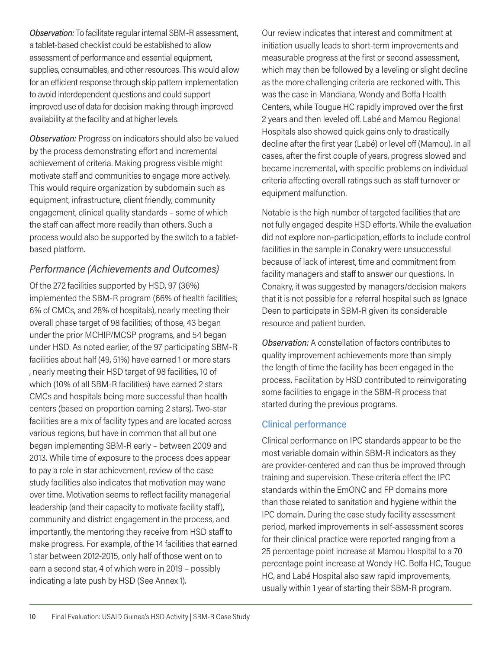*Observation:* To facilitate regular internal SBM-R assessment, a tablet-based checklist could be established to allow assessment of performance and essential equipment, supplies, consumables, and other resources. This would allow for an efficient response through skip pattern implementation to avoid interdependent questions and could support improved use of data for decision making through improved availability at the facility and at higher levels.

*Observation:* Progress on indicators should also be valued by the process demonstrating effort and incremental achievement of criteria. Making progress visible might motivate staff and communities to engage more actively. This would require organization by subdomain such as equipment, infrastructure, client friendly, community engagement, clinical quality standards – some of which the staff can affect more readily than others. Such a process would also be supported by the switch to a tabletbased platform.

#### *Performance (Achievements and Outcomes)*

Of the 272 facilities supported by HSD, 97 (36%) implemented the SBM-R program (66% of health facilities; 6% of CMCs, and 28% of hospitals), nearly meeting their overall phase target of 98 facilities; of those, 43 began under the prior MCHIP/MCSP programs, and 54 began under HSD. As noted earlier, of the 97 participating SBM-R facilities about half (49, 51%) have earned 1 or more stars , nearly meeting their HSD target of 98 facilities, 10 of which (10% of all SBM-R facilities) have earned 2 stars CMCs and hospitals being more successful than health centers (based on proportion earning 2 stars). Two-star facilities are a mix of facility types and are located across various regions, but have in common that all but one began implementing SBM-R early – between 2009 and 2013. While time of exposure to the process does appear to pay a role in star achievement, review of the case study facilities also indicates that motivation may wane over time. Motivation seems to reflect facility managerial leadership (and their capacity to motivate facility staff), community and district engagement in the process, and importantly, the mentoring they receive from HSD staff to make progress. For example, of the 14 facilities that earned 1 star between 2012-2015, only half of those went on to earn a second star, 4 of which were in 2019 – possibly indicating a late push by HSD (See Annex 1).

Our review indicates that interest and commitment at initiation usually leads to short-term improvements and measurable progress at the first or second assessment, which may then be followed by a leveling or slight decline as the more challenging criteria are reckoned with. This was the case in Mandiana, Wondy and Boffa Health Centers, while Tougue HC rapidly improved over the first 2 years and then leveled off. Labé and Mamou Regional Hospitals also showed quick gains only to drastically decline after the first year (Labé) or level off (Mamou). In all cases, after the first couple of years, progress slowed and became incremental, with specific problems on individual criteria affecting overall ratings such as staff turnover or equipment malfunction.

Notable is the high number of targeted facilities that are not fully engaged despite HSD efforts. While the evaluation did not explore non-participation, efforts to include control facilities in the sample in Conakry were unsuccessful because of lack of interest, time and commitment from facility managers and staff to answer our questions. In Conakry, it was suggested by managers/decision makers that it is not possible for a referral hospital such as Ignace Deen to participate in SBM-R given its considerable resource and patient burden.

*Observation:* A constellation of factors contributes to quality improvement achievements more than simply the length of time the facility has been engaged in the process. Facilitation by HSD contributed to reinvigorating some facilities to engage in the SBM-R process that started during the previous programs.

#### Clinical performance

Clinical performance on IPC standards appear to be the most variable domain within SBM-R indicators as they are provider-centered and can thus be improved through training and supervision. These criteria effect the IPC standards within the EmONC and FP domains more than those related to sanitation and hygiene within the IPC domain. During the case study facility assessment period, marked improvements in self-assessment scores for their clinical practice were reported ranging from a 25 percentage point increase at Mamou Hospital to a 70 percentage point increase at Wondy HC. Boffa HC, Tougue HC, and Labé Hospital also saw rapid improvements, usually within 1 year of starting their SBM-R program.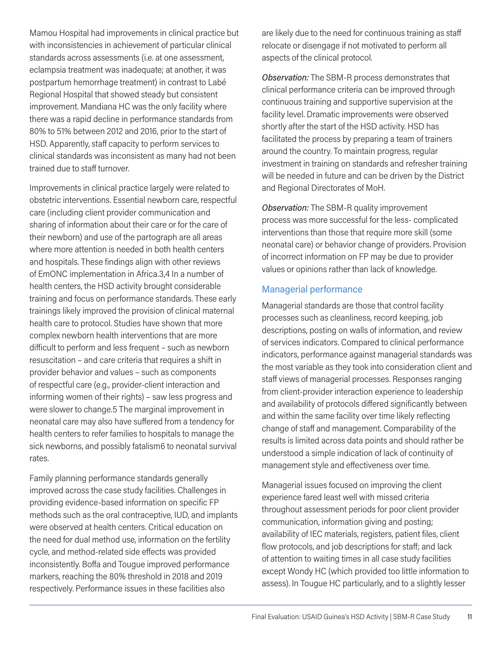Mamou Hospital had improvements in clinical practice but with inconsistencies in achievement of particular clinical standards across assessments (i.e. at one assessment, eclampsia treatment was inadequate; at another, it was postpartum hemorrhage treatment) in contrast to Labé Regional Hospital that showed steady but consistent improvement. Mandiana HC was the only facility where there was a rapid decline in performance standards from 80% to 51% between 2012 and 2016, prior to the start of HSD. Apparently, staff capacity to perform services to clinical standards was inconsistent as many had not been trained due to staff turnover.

Improvements in clinical practice largely were related to obstetric interventions. Essential newborn care, respectful care (including client provider communication and sharing of information about their care or for the care of their newborn) and use of the partograph are all areas where more attention is needed in both health centers and hospitals. These findings align with other reviews of EmONC implementation in Africa.3,4 In a number of health centers, the HSD activity brought considerable training and focus on performance standards. These early trainings likely improved the provision of clinical maternal health care to protocol. Studies have shown that more complex newborn health interventions that are more difficult to perform and less frequent – such as newborn resuscitation – and care criteria that requires a shift in provider behavior and values – such as components of respectful care (e.g., provider-client interaction and informing women of their rights) – saw less progress and were slower to change.5 The marginal improvement in neonatal care may also have suffered from a tendency for health centers to refer families to hospitals to manage the sick newborns, and possibly fatalism6 to neonatal survival rates.

Family planning performance standards generally improved across the case study facilities. Challenges in providing evidence-based information on specific FP methods such as the oral contraceptive, IUD, and implants were observed at health centers. Critical education on the need for dual method use, information on the fertility cycle, and method-related side effects was provided inconsistently. Boffa and Tougue improved performance markers, reaching the 80% threshold in 2018 and 2019 respectively. Performance issues in these facilities also

are likely due to the need for continuous training as staff relocate or disengage if not motivated to perform all aspects of the clinical protocol.

*Observation:* The SBM-R process demonstrates that clinical performance criteria can be improved through continuous training and supportive supervision at the facility level. Dramatic improvements were observed shortly after the start of the HSD activity. HSD has facilitated the process by preparing a team of trainers around the country. To maintain progress, regular investment in training on standards and refresher training will be needed in future and can be driven by the District and Regional Directorates of MoH.

*Observation:* The SBM-R quality improvement process was more successful for the less- complicated interventions than those that require more skill (some neonatal care) or behavior change of providers. Provision of incorrect information on FP may be due to provider values or opinions rather than lack of knowledge.

#### Managerial performance

Managerial standards are those that control facility processes such as cleanliness, record keeping, job descriptions, posting on walls of information, and review of services indicators. Compared to clinical performance indicators, performance against managerial standards was the most variable as they took into consideration client and staff views of managerial processes. Responses ranging from client-provider interaction experience to leadership and availability of protocols differed significantly between and within the same facility over time likely reflecting change of staff and management. Comparability of the results is limited across data points and should rather be understood a simple indication of lack of continuity of management style and effectiveness over time.

Managerial issues focused on improving the client experience fared least well with missed criteria throughout assessment periods for poor client provider communication, information giving and posting; availability of IEC materials, registers, patient files, client flow protocols, and job descriptions for staff; and lack of attention to waiting times in all case study facilities except Wondy HC (which provided too little information to assess). In Tougue HC particularly, and to a slightly lesser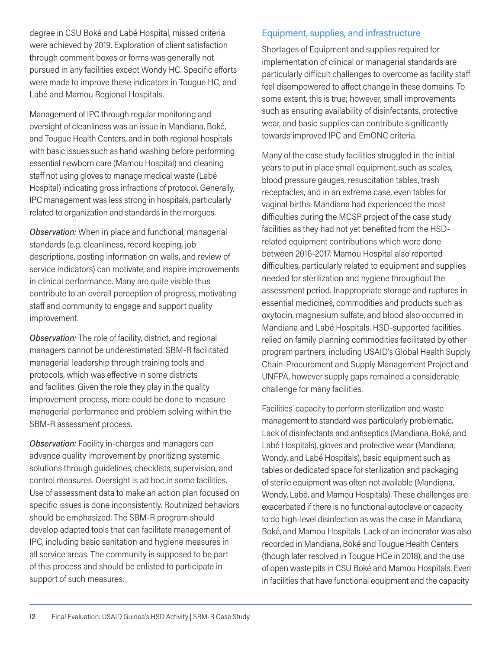degree in CSU Boké and Labé Hospital, missed criteria were achieved by 2019. Exploration of client satisfaction through comment boxes or forms was generally not pursued in any facilities except Wondy HC. Specific efforts were made to improve these indicators in Tougue HC, and Labé and Mamou Regional Hospitals.

Management of IPC through regular monitoring and oversight of cleanliness was an issue in Mandiana, Boké, and Tougue Health Centers, and in both regional hospitals with basic issues such as hand washing before performing essential newborn care (Mamou Hospital) and cleaning staff not using gloves to manage medical waste (Labé Hospital) indicating gross infractions of protocol. Generally, IPC management was less strong in hospitals, particularly related to organization and standards in the morgues.

*Observation:* When in place and functional, managerial standards (e.g. cleanliness, record keeping, job descriptions, posting information on walls, and review of service indicators) can motivate, and inspire improvements in clinical performance. Many are quite visible thus contribute to an overall perception of progress, motivating staff and community to engage and support quality improvement.

*Observation:* The role of facility, district, and regional managers cannot be underestimated. SBM-R facilitated managerial leadership through training tools and protocols, which was effective in some districts and facilities. Given the role they play in the quality improvement process, more could be done to measure managerial performance and problem solving within the SBM-R assessment process.

*Observation:* Facility in-charges and managers can advance quality improvement by prioritizing systemic solutions through guidelines, checklists, supervision, and control measures. Oversight is ad hoc in some facilities. Use of assessment data to make an action plan focused on specific issues is done inconsistently. Routinized behaviors should be emphasized. The SBM-R program should develop adapted tools that can facilitate management of IPC, including basic sanitation and hygiene measures in all service areas. The community is supposed to be part of this process and should be enlisted to participate in support of such measures.

#### Equipment, supplies, and infrastructure

Shortages of Equipment and supplies required for implementation of clinical or managerial standards are particularly difficult challenges to overcome as facility staff feel disempowered to affect change in these domains. To some extent, this is true; however, small improvements such as ensuring availability of disinfectants, protective wear, and basic supplies can contribute significantly towards improved IPC and EmONC criteria.

Many of the case study facilities struggled in the initial years to put in place small equipment, such as scales, blood pressure gauges, resuscitation tables, trash receptacles, and in an extreme case, even tables for vaginal births. Mandiana had experienced the most difficulties during the MCSP project of the case study facilities as they had not yet benefited from the HSDrelated equipment contributions which were done between 2016-2017. Mamou Hospital also reported difficulties, particularly related to equipment and supplies needed for sterilization and hygiene throughout the assessment period. Inappropriate storage and ruptures in essential medicines, commodities and products such as oxytocin, magnesium sulfate, and blood also occurred in Mandiana and Labé Hospitals. HSD-supported facilities relied on family planning commodities facilitated by other program partners, including USAID's Global Health Supply Chain-Procurement and Supply Management Project and UNFPA, however supply gaps remained a considerable challenge for many facilities.

Facilities' capacity to perform sterilization and waste management to standard was particularly problematic. Lack of disinfectants and antiseptics (Mandiana, Boké, and Labé Hospitals), gloves and protective wear (Mandiana, Wondy, and Labé Hospitals), basic equipment such as tables or dedicated space for sterilization and packaging of sterile equipment was often not available (Mandiana, Wondy, Labé, and Mamou Hospitals). These challenges are exacerbated if there is no functional autoclave or capacity to do high-level disinfection as was the case in Mandiana, Boké, and Mamou Hospitals. Lack of an incinerator was also recorded in Mandiana, Boké and Tougue Health Centers (though later resolved in Tougue HCe in 2018), and the use of open waste pits in CSU Boké and Mamou Hospitals. Even in facilities that have functional equipment and the capacity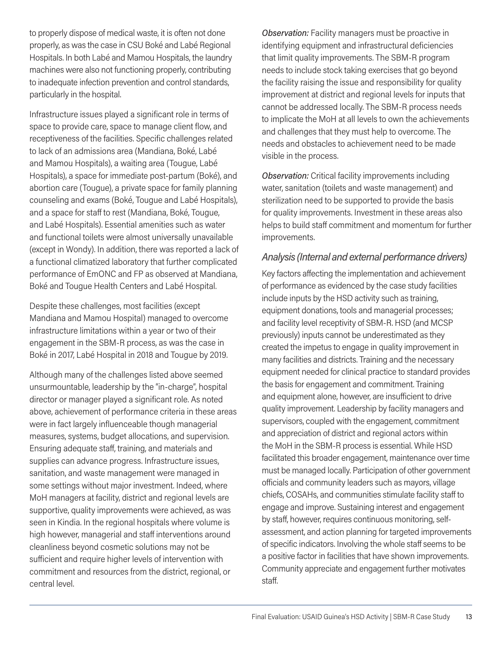to properly dispose of medical waste, it is often not done properly, as was the case in CSU Boké and Labé Regional Hospitals. In both Labé and Mamou Hospitals, the laundry machines were also not functioning properly, contributing to inadequate infection prevention and control standards, particularly in the hospital.

Infrastructure issues played a significant role in terms of space to provide care, space to manage client flow, and receptiveness of the facilities. Specific challenges related to lack of an admissions area (Mandiana, Boké, Labé and Mamou Hospitals), a waiting area (Tougue, Labé Hospitals), a space for immediate post-partum (Boké), and abortion care (Tougue), a private space for family planning counseling and exams (Boké, Tougue and Labé Hospitals), and a space for staff to rest (Mandiana, Boké, Tougue, and Labé Hospitals). Essential amenities such as water and functional toilets were almost universally unavailable (except in Wondy). In addition, there was reported a lack of a functional climatized laboratory that further complicated performance of EmONC and FP as observed at Mandiana, Boké and Tougue Health Centers and Labé Hospital.

Despite these challenges, most facilities (except Mandiana and Mamou Hospital) managed to overcome infrastructure limitations within a year or two of their engagement in the SBM-R process, as was the case in Boké in 2017, Labé Hospital in 2018 and Tougue by 2019.

Although many of the challenges listed above seemed unsurmountable, leadership by the "in-charge", hospital director or manager played a significant role. As noted above, achievement of performance criteria in these areas were in fact largely influenceable though managerial measures, systems, budget allocations, and supervision. Ensuring adequate staff, training, and materials and supplies can advance progress. Infrastructure issues, sanitation, and waste management were managed in some settings without major investment. Indeed, where MoH managers at facility, district and regional levels are supportive, quality improvements were achieved, as was seen in Kindia. In the regional hospitals where volume is high however, managerial and staff interventions around cleanliness beyond cosmetic solutions may not be sufficient and require higher levels of intervention with commitment and resources from the district, regional, or central level.

*Observation:* Facility managers must be proactive in identifying equipment and infrastructural deficiencies that limit quality improvements. The SBM-R program needs to include stock taking exercises that go beyond the facility raising the issue and responsibility for quality improvement at district and regional levels for inputs that cannot be addressed locally. The SBM-R process needs to implicate the MoH at all levels to own the achievements and challenges that they must help to overcome. The needs and obstacles to achievement need to be made visible in the process.

*Observation:* Critical facility improvements including water, sanitation (toilets and waste management) and sterilization need to be supported to provide the basis for quality improvements. Investment in these areas also helps to build staff commitment and momentum for further improvements.

#### *Analysis (Internal and external performance drivers)*

Key factors affecting the implementation and achievement of performance as evidenced by the case study facilities include inputs by the HSD activity such as training, equipment donations, tools and managerial processes; and facility level receptivity of SBM-R. HSD (and MCSP previously) inputs cannot be underestimated as they created the impetus to engage in quality improvement in many facilities and districts. Training and the necessary equipment needed for clinical practice to standard provides the basis for engagement and commitment. Training and equipment alone, however, are insufficient to drive quality improvement. Leadership by facility managers and supervisors, coupled with the engagement, commitment and appreciation of district and regional actors within the MoH in the SBM-R process is essential. While HSD facilitated this broader engagement, maintenance over time must be managed locally. Participation of other government officials and community leaders such as mayors, village chiefs, COSAHs, and communities stimulate facility staff to engage and improve. Sustaining interest and engagement by staff, however, requires continuous monitoring, selfassessment, and action planning for targeted improvements of specific indicators. Involving the whole staff seems to be a positive factor in facilities that have shown improvements. Community appreciate and engagement further motivates staff.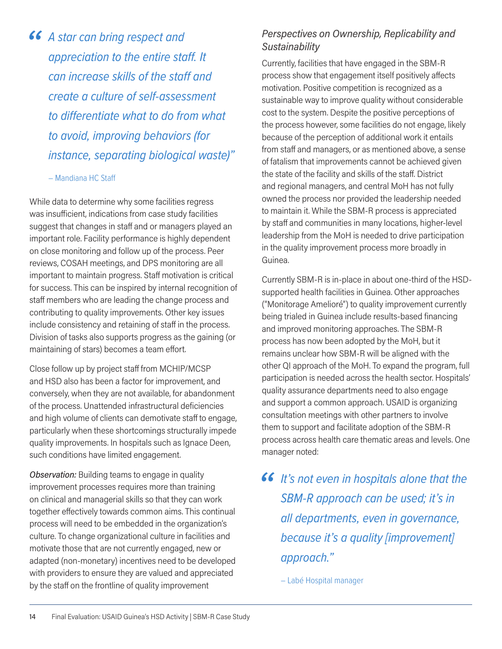**46** A star can bring respect and appreciation to the entire sta *appreciation to the entire staff. It can increase skills of the staff and create a culture of self-assessment to differentiate what to do from what to avoid, improving behaviors (for instance, separating biological waste)"* 

#### – Mandiana HC Staff

While data to determine why some facilities regress was insufficient, indications from case study facilities suggest that changes in staff and or managers played an important role. Facility performance is highly dependent on close monitoring and follow up of the process. Peer reviews, COSAH meetings, and DPS monitoring are all important to maintain progress. Staff motivation is critical for success. This can be inspired by internal recognition of staff members who are leading the change process and contributing to quality improvements. Other key issues include consistency and retaining of staff in the process. Division of tasks also supports progress as the gaining (or maintaining of stars) becomes a team effort.

Close follow up by project staff from MCHIP/MCSP and HSD also has been a factor for improvement, and conversely, when they are not available, for abandonment of the process. Unattended infrastructural deficiencies and high volume of clients can demotivate staff to engage, particularly when these shortcomings structurally impede quality improvements. In hospitals such as Ignace Deen, such conditions have limited engagement.

*Observation:* Building teams to engage in quality improvement processes requires more than training on clinical and managerial skills so that they can work together effectively towards common aims. This continual process will need to be embedded in the organization's culture. To change organizational culture in facilities and motivate those that are not currently engaged, new or adapted (non-monetary) incentives need to be developed with providers to ensure they are valued and appreciated by the staff on the frontline of quality improvement

### *Perspectives on Ownership, Replicability and Sustainability*

Currently, facilities that have engaged in the SBM-R process show that engagement itself positively affects motivation. Positive competition is recognized as a sustainable way to improve quality without considerable cost to the system. Despite the positive perceptions of the process however, some facilities do not engage, likely because of the perception of additional work it entails from staff and managers, or as mentioned above, a sense of fatalism that improvements cannot be achieved given the state of the facility and skills of the staff. District and regional managers, and central MoH has not fully owned the process nor provided the leadership needed to maintain it. While the SBM-R process is appreciated by staff and communities in many locations, higher-level leadership from the MoH is needed to drive participation in the quality improvement process more broadly in Guinea.

Currently SBM-R is in-place in about one-third of the HSDsupported health facilities in Guinea. Other approaches ("Monitorage Amelioré") to quality improvement currently being trialed in Guinea include results-based financing and improved monitoring approaches. The SBM-R process has now been adopted by the MoH, but it remains unclear how SBM-R will be aligned with the other QI approach of the MoH. To expand the program, full participation is needed across the health sector. Hospitals' quality assurance departments need to also engage and support a common approach. USAID is organizing consultation meetings with other partners to involve them to support and facilitate adoption of the SBM-R process across health care thematic areas and levels. One manager noted:

*It's not even in hospitals alone that the*<br> *SBM-R approach can be used; it's in SBM-R approach can be used; it's in all departments, even in governance, because it's a quality [improvement] approach."* 

– Labé Hospital manager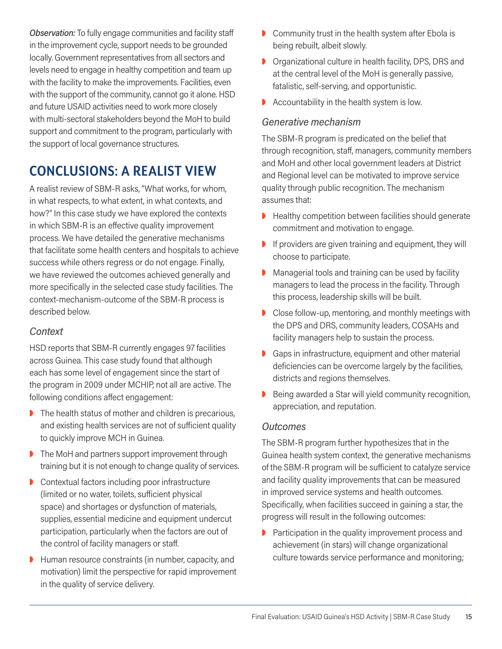*Observation:* To fully engage communities and facility staff in the improvement cycle, support needs to be grounded locally. Government representatives from all sectors and levels need to engage in healthy competition and team up with the facility to make the improvements. Facilities, even with the support of the community, cannot go it alone. HSD and future USAID activities need to work more closely with multi-sectoral stakeholders beyond the MoH to build support and commitment to the program, particularly with the support of local governance structures.

# **CONCLUSIONS: A REALIST VIEW**

A realist review of SBM-R asks, "What works, for whom, in what respects, to what extent, in what contexts, and how?" In this case study we have explored the contexts in which SBM-R is an effective quality improvement process. We have detailed the generative mechanisms that facilitate some health centers and hospitals to achieve success while others regress or do not engage. Finally, we have reviewed the outcomes achieved generally and more specifically in the selected case study facilities. The context-mechanism-outcome of the SBM-R process is described below.

#### *Context*

HSD reports that SBM-R currently engages 97 facilities across Guinea. This case study found that although each has some level of engagement since the start of the program in 2009 under MCHIP, not all are active. The following conditions affect engagement:

- $\triangleright$  The health status of mother and children is precarious, and existing health services are not of sufficient quality to quickly improve MCH in Guinea.
- $\triangleright$  The MoH and partners support improvement through training but it is not enough to change quality of services.
- $\triangleright$  Contextual factors including poor infrastructure (limited or no water, toilets, sufficient physical space) and shortages or dysfunction of materials, supplies, essential medicine and equipment undercut participation, particularly when the factors are out of the control of facility managers or staff.
- $\blacktriangleright$  Human resource constraints (in number, capacity, and motivation) limit the perspective for rapid improvement in the quality of service delivery.
- $\triangleright$  Community trust in the health system after Ebola is being rebuilt, albeit slowly.
- **D** Organizational culture in health facility, DPS, DRS and at the central level of the MoH is generally passive, fatalistic, self-serving, and opportunistic.
- $\blacktriangleright$  Accountability in the health system is low.

### *Generative mechanism*

The SBM-R program is predicated on the belief that through recognition, staff, managers, community members and MoH and other local government leaders at District and Regional level can be motivated to improve service quality through public recognition. The mechanism assumes that:

- $\blacktriangleright$  Healthy competition between facilities should generate commitment and motivation to engage.
- $\blacksquare$  If providers are given training and equipment, they will choose to participate.
- $\triangleright$  Managerial tools and training can be used by facility managers to lead the process in the facility. Through this process, leadership skills will be built.
- $\triangleright$  Close follow-up, mentoring, and monthly meetings with the DPS and DRS, community leaders, COSAHs and facility managers help to sustain the process.
- $\triangleright$  Gaps in infrastructure, equipment and other material deficiencies can be overcome largely by the facilities, districts and regions themselves.
- Being awarded a Star will yield community recognition, appreciation, and reputation.

#### *Outcomes*

The SBM-R program further hypothesizes that in the Guinea health system context, the generative mechanisms of the SBM-R program will be sufficient to catalyze service and facility quality improvements that can be measured in improved service systems and health outcomes. Specifically, when facilities succeed in gaining a star, the progress will result in the following outcomes:

 $\triangleright$  Participation in the quality improvement process and achievement (in stars) will change organizational culture towards service performance and monitoring;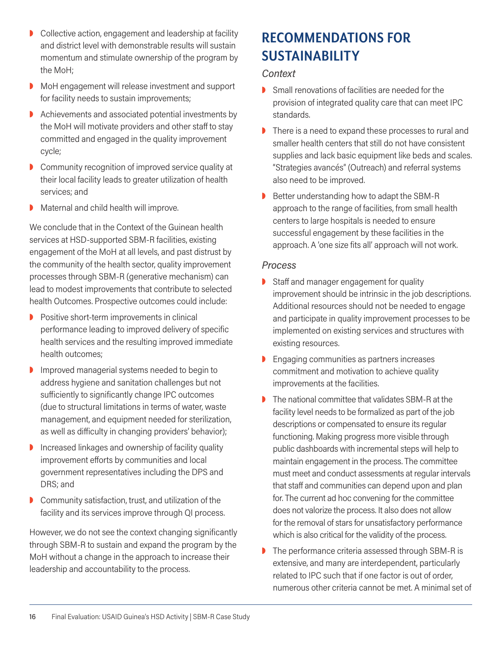- $\triangleright$  Collective action, engagement and leadership at facility and district level with demonstrable results will sustain momentum and stimulate ownership of the program by the MoH;
- MoH engagement will release investment and support for facility needs to sustain improvements;
- $\blacktriangleright$  Achievements and associated potential investments by the MoH will motivate providers and other staff to stay committed and engaged in the quality improvement cycle;
- $\triangleright$  Community recognition of improved service quality at their local facility leads to greater utilization of health services; and
- $\triangleright$  Maternal and child health will improve.

We conclude that in the Context of the Guinean health services at HSD-supported SBM-R facilities, existing engagement of the MoH at all levels, and past distrust by the community of the health sector, quality improvement processes through SBM-R (generative mechanism) can lead to modest improvements that contribute to selected health Outcomes. Prospective outcomes could include:

- $\triangleright$  Positive short-term improvements in clinical performance leading to improved delivery of specific health services and the resulting improved immediate health outcomes;
- $\blacksquare$  Improved managerial systems needed to begin to address hygiene and sanitation challenges but not sufficiently to significantly change IPC outcomes (due to structural limitations in terms of water, waste management, and equipment needed for sterilization, as well as difficulty in changing providers' behavior);
- $\blacksquare$  Increased linkages and ownership of facility quality improvement efforts by communities and local government representatives including the DPS and DRS; and
- $\triangleright$  Community satisfaction, trust, and utilization of the facility and its services improve through QI process.

However, we do not see the context changing significantly through SBM-R to sustain and expand the program by the MoH without a change in the approach to increase their leadership and accountability to the process.

# **RECOMMENDATIONS FOR SUSTAINABILITY**

#### *Context*

- $\triangleright$  Small renovations of facilities are needed for the provision of integrated quality care that can meet IPC standards.
- $\triangleright$  There is a need to expand these processes to rural and smaller health centers that still do not have consistent supplies and lack basic equipment like beds and scales. "Strategies avancés" (Outreach) and referral systems also need to be improved.
- $\triangleright$  Better understanding how to adapt the SBM-R approach to the range of facilities, from small health centers to large hospitals is needed to ensure successful engagement by these facilities in the approach. A 'one size fits all' approach will not work.

#### *Process*

- $\triangleright$  Staff and manager engagement for quality improvement should be intrinsic in the job descriptions. Additional resources should not be needed to engage and participate in quality improvement processes to be implemented on existing services and structures with existing resources.
- $\triangleright$  Engaging communities as partners increases commitment and motivation to achieve quality improvements at the facilities.
- The national committee that validates SBM-R at the facility level needs to be formalized as part of the job descriptions or compensated to ensure its regular functioning. Making progress more visible through public dashboards with incremental steps will help to maintain engagement in the process. The committee must meet and conduct assessments at regular intervals that staff and communities can depend upon and plan for. The current ad hoc convening for the committee does not valorize the process. It also does not allow for the removal of stars for unsatisfactory performance which is also critical for the validity of the process.
- $\blacktriangleright$  The performance criteria assessed through SBM-R is extensive, and many are interdependent, particularly related to IPC such that if one factor is out of order, numerous other criteria cannot be met. A minimal set of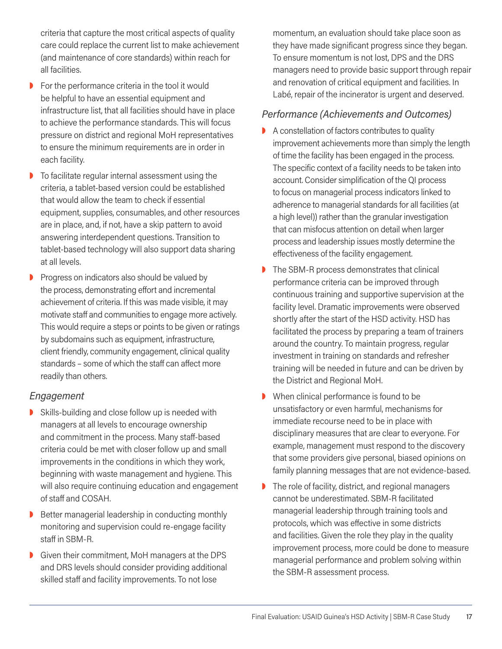criteria that capture the most critical aspects of quality care could replace the current list to make achievement (and maintenance of core standards) within reach for all facilities.

- $\triangleright$  For the performance criteria in the tool it would be helpful to have an essential equipment and infrastructure list, that all facilities should have in place to achieve the performance standards. This will focus pressure on district and regional MoH representatives to ensure the minimum requirements are in order in each facility.
- $\triangleright$  To facilitate regular internal assessment using the criteria, a tablet-based version could be established that would allow the team to check if essential equipment, supplies, consumables, and other resources are in place, and, if not, have a skip pattern to avoid answering interdependent questions. Transition to tablet-based technology will also support data sharing at all levels.
- $\triangleright$  Progress on indicators also should be valued by the process, demonstrating effort and incremental achievement of criteria. If this was made visible, it may motivate staff and communities to engage more actively. This would require a steps or points to be given or ratings by subdomains such as equipment, infrastructure, client friendly, community engagement, clinical quality standards – some of which the staff can affect more readily than others.

#### *Engagement*

- $\triangleright$  Skills-building and close follow up is needed with managers at all levels to encourage ownership and commitment in the process. Many staff-based criteria could be met with closer follow up and small improvements in the conditions in which they work, beginning with waste management and hygiene. This will also require continuing education and engagement of staff and COSAH.
- Better managerial leadership in conducting monthly monitoring and supervision could re-engage facility staff in SBM-R.
- Given their commitment, MoH managers at the DPS and DRS levels should consider providing additional skilled staff and facility improvements. To not lose

momentum, an evaluation should take place soon as they have made significant progress since they began. To ensure momentum is not lost, DPS and the DRS managers need to provide basic support through repair and renovation of critical equipment and facilities. In Labé, repair of the incinerator is urgent and deserved.

#### *Performance (Achievements and Outcomes)*

- $\triangleright$  A constellation of factors contributes to quality improvement achievements more than simply the length of time the facility has been engaged in the process. The specific context of a facility needs to be taken into account. Consider simplification of the QI process to focus on managerial process indicators linked to adherence to managerial standards for all facilities (at a high level)) rather than the granular investigation that can misfocus attention on detail when larger process and leadership issues mostly determine the effectiveness of the facility engagement.
- $\triangleright$  The SBM-R process demonstrates that clinical performance criteria can be improved through continuous training and supportive supervision at the facility level. Dramatic improvements were observed shortly after the start of the HSD activity. HSD has facilitated the process by preparing a team of trainers around the country. To maintain progress, regular investment in training on standards and refresher training will be needed in future and can be driven by the District and Regional MoH.
- $\triangleright$  When clinical performance is found to be unsatisfactory or even harmful, mechanisms for immediate recourse need to be in place with disciplinary measures that are clear to everyone. For example, management must respond to the discovery that some providers give personal, biased opinions on family planning messages that are not evidence-based.
- The role of facility, district, and regional managers cannot be underestimated. SBM-R facilitated managerial leadership through training tools and protocols, which was effective in some districts and facilities. Given the role they play in the quality improvement process, more could be done to measure managerial performance and problem solving within the SBM-R assessment process.